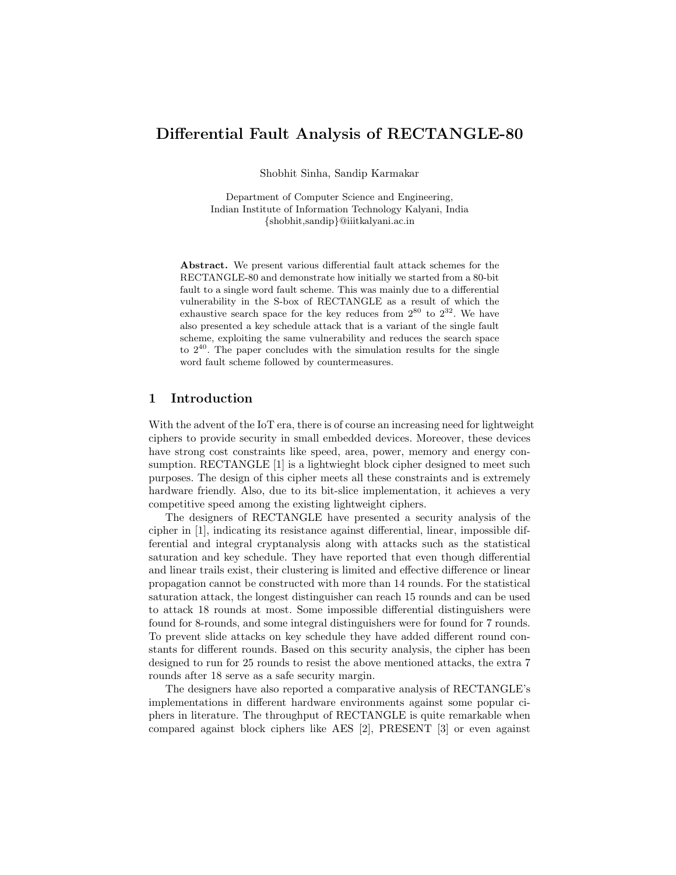# Differential Fault Analysis of RECTANGLE-80

Shobhit Sinha, Sandip Karmakar

Department of Computer Science and Engineering, Indian Institute of Information Technology Kalyani, India {shobhit,sandip}@iiitkalyani.ac.in

Abstract. We present various differential fault attack schemes for the RECTANGLE-80 and demonstrate how initially we started from a 80-bit fault to a single word fault scheme. This was mainly due to a differential vulnerability in the S-box of RECTANGLE as a result of which the exhaustive search space for the key reduces from  $2^{80}$  to  $2^{32}$ . We have also presented a key schedule attack that is a variant of the single fault scheme, exploiting the same vulnerability and reduces the search space to  $2^{40}$ . The paper concludes with the simulation results for the single word fault scheme followed by countermeasures.

## 1 Introduction

With the advent of the IoT era, there is of course an increasing need for lightweight ciphers to provide security in small embedded devices. Moreover, these devices have strong cost constraints like speed, area, power, memory and energy consumption. RECTANGLE [1] is a lightwieght block cipher designed to meet such purposes. The design of this cipher meets all these constraints and is extremely hardware friendly. Also, due to its bit-slice implementation, it achieves a very competitive speed among the existing lightweight ciphers.

The designers of RECTANGLE have presented a security analysis of the cipher in [1], indicating its resistance against differential, linear, impossible differential and integral cryptanalysis along with attacks such as the statistical saturation and key schedule. They have reported that even though differential and linear trails exist, their clustering is limited and effective difference or linear propagation cannot be constructed with more than 14 rounds. For the statistical saturation attack, the longest distinguisher can reach 15 rounds and can be used to attack 18 rounds at most. Some impossible differential distinguishers were found for 8-rounds, and some integral distinguishers were for found for 7 rounds. To prevent slide attacks on key schedule they have added different round constants for different rounds. Based on this security analysis, the cipher has been designed to run for 25 rounds to resist the above mentioned attacks, the extra 7 rounds after 18 serve as a safe security margin.

The designers have also reported a comparative analysis of RECTANGLE's implementations in different hardware environments against some popular ciphers in literature. The throughput of RECTANGLE is quite remarkable when compared against block ciphers like AES [2], PRESENT [3] or even against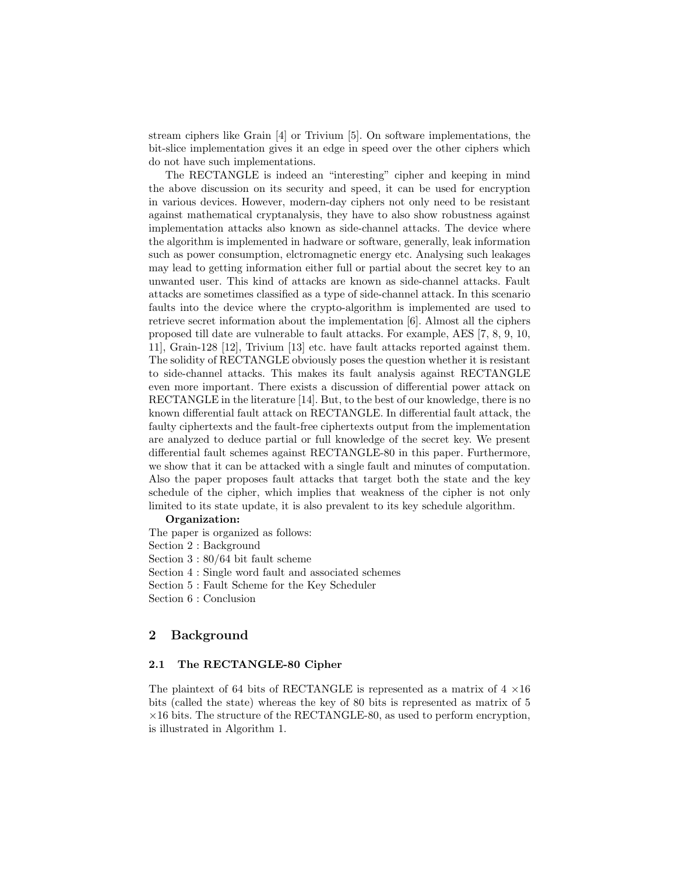stream ciphers like Grain [4] or Trivium [5]. On software implementations, the bit-slice implementation gives it an edge in speed over the other ciphers which do not have such implementations.

The RECTANGLE is indeed an "interesting" cipher and keeping in mind the above discussion on its security and speed, it can be used for encryption in various devices. However, modern-day ciphers not only need to be resistant against mathematical cryptanalysis, they have to also show robustness against implementation attacks also known as side-channel attacks. The device where the algorithm is implemented in hadware or software, generally, leak information such as power consumption, elctromagnetic energy etc. Analysing such leakages may lead to getting information either full or partial about the secret key to an unwanted user. This kind of attacks are known as side-channel attacks. Fault attacks are sometimes classified as a type of side-channel attack. In this scenario faults into the device where the crypto-algorithm is implemented are used to retrieve secret information about the implementation [6]. Almost all the ciphers proposed till date are vulnerable to fault attacks. For example, AES [7, 8, 9, 10, 11], Grain-128 [12], Trivium [13] etc. have fault attacks reported against them. The solidity of RECTANGLE obviously poses the question whether it is resistant to side-channel attacks. This makes its fault analysis against RECTANGLE even more important. There exists a discussion of differential power attack on RECTANGLE in the literature [14]. But, to the best of our knowledge, there is no known differential fault attack on RECTANGLE. In differential fault attack, the faulty ciphertexts and the fault-free ciphertexts output from the implementation are analyzed to deduce partial or full knowledge of the secret key. We present differential fault schemes against RECTANGLE-80 in this paper. Furthermore, we show that it can be attacked with a single fault and minutes of computation. Also the paper proposes fault attacks that target both the state and the key schedule of the cipher, which implies that weakness of the cipher is not only limited to its state update, it is also prevalent to its key schedule algorithm.

#### Organization:

The paper is organized as follows: Section 2 : Background Section 3 : 80/64 bit fault scheme Section 4 : Single word fault and associated schemes Section 5 : Fault Scheme for the Key Scheduler

Section 6 : Conclusion

## 2 Background

## 2.1 The RECTANGLE-80 Cipher

The plaintext of 64 bits of RECTANGLE is represented as a matrix of  $4 \times 16$ bits (called the state) whereas the key of 80 bits is represented as matrix of 5  $\times 16$  bits. The structure of the RECTANGLE-80, as used to perform encryption, is illustrated in Algorithm 1.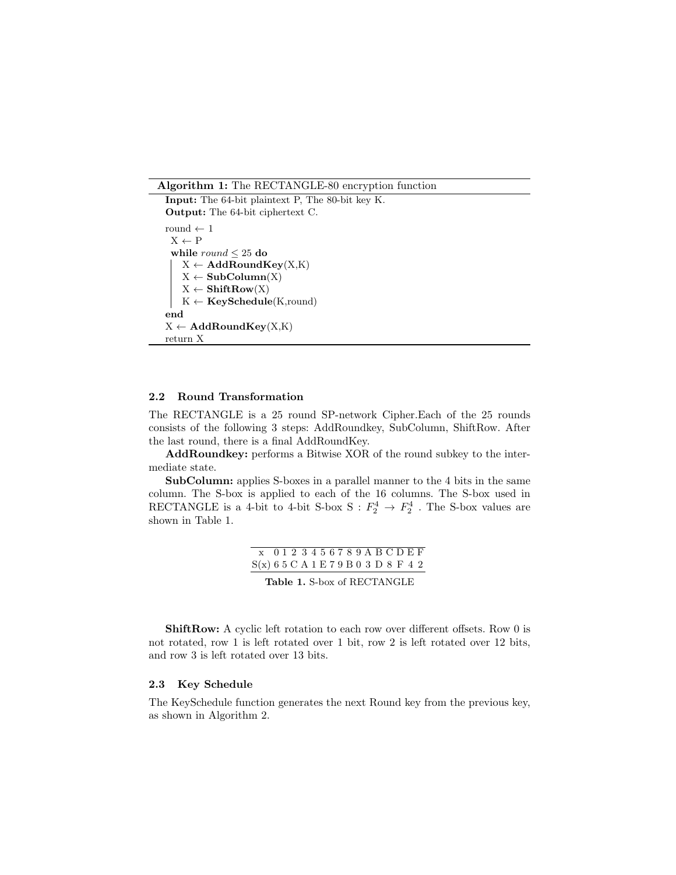Algorithm 1: The RECTANGLE-80 encryption function

```
Input: The 64-bit plaintext P, The 80-bit key K.
Output: The 64-bit ciphertext C.
round \leftarrow 1
 X \leftarrow Pwhile round \leq 25 do
    X \leftarrow \text{AddRoundKey}(X, K)X \leftarrow SubColumn(X)
    X \leftarrow ShiftRow(X)K \leftarrow \textbf{KeySchedule}(K, round)end
X \leftarrow \text{AddRoundKey}(X, K)return X
```
### 2.2 Round Transformation

The RECTANGLE is a 25 round SP-network Cipher.Each of the 25 rounds consists of the following 3 steps: AddRoundkey, SubColumn, ShiftRow. After the last round, there is a final AddRoundKey.

AddRoundkey: performs a Bitwise XOR of the round subkey to the intermediate state.

SubColumn: applies S-boxes in a parallel manner to the 4 bits in the same column. The S-box is applied to each of the 16 columns. The S-box used in RECTANGLE is a 4-bit to 4-bit S-box S :  $F_2^4 \rightarrow F_2^4$  . The S-box values are shown in Table 1.

> x 0 1 2 3 4 5 6 7 8 9 A B C D E F S(x) 6 5 C A 1 E 7 9 B 0 3 D 8 F 4 2

Table 1. S-box of RECTANGLE

ShiftRow: A cyclic left rotation to each row over different offsets. Row 0 is not rotated, row 1 is left rotated over 1 bit, row 2 is left rotated over 12 bits, and row 3 is left rotated over 13 bits.

### 2.3 Key Schedule

The KeySchedule function generates the next Round key from the previous key, as shown in Algorithm 2.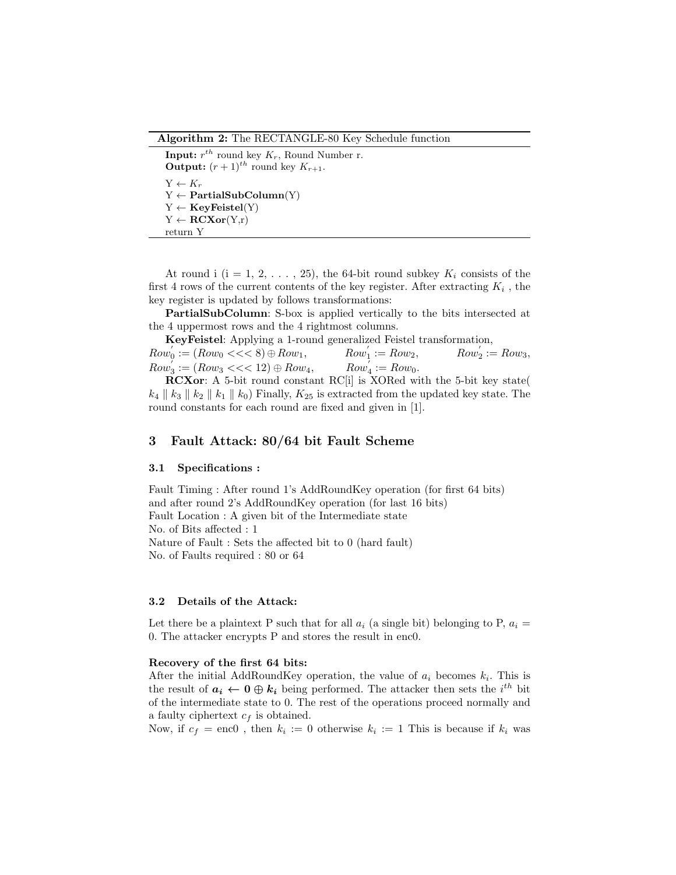Algorithm 2: The RECTANGLE-80 Key Schedule function

**Input:**  $r^{th}$  round key  $K_r$ , Round Number r. **Output:**  $(r+1)$ <sup>th</sup> round key  $K_{r+1}$ .  $Y \leftarrow K_r$  $Y \leftarrow$  PartialSubColumn(Y)  $Y \leftarrow \textbf{KeyFeistel}(Y)$  $Y \leftarrow \textbf{RCXor}(Y,r)$ return Y

At round i (i = 1, 2, ..., 25), the 64-bit round subkey  $K_i$  consists of the first 4 rows of the current contents of the key register. After extracting  $K_i$ , the key register is updated by follows transformations:

PartialSubColumn: S-box is applied vertically to the bits intersected at the 4 uppermost rows and the 4 rightmost columns.

KeyFeistel: Applying a 1-round generalized Feistel transformation,

 $Row_0' := (Row_0 << 8) \oplus Row_1,$   $Row_1'$  $I_1 := Row_2,$   $Row_2'$  $i_2 := Row_3,$  $Row_3' := (Row_3 \ll \ll 12) \oplus Row_4, \hspace{1cm} Row_4'$  $\iota_4 := Row_0.$ 

RCXor: A 5-bit round constant RC[i] is XORed with the 5-bit key state(  $k_4 \parallel k_3 \parallel k_2 \parallel k_1 \parallel k_0$  Finally,  $K_{25}$  is extracted from the updated key state. The round constants for each round are fixed and given in [1].

## 3 Fault Attack: 80/64 bit Fault Scheme

### 3.1 Specifications :

Fault Timing : After round 1's AddRoundKey operation (for first 64 bits) and after round 2's AddRoundKey operation (for last 16 bits) Fault Location : A given bit of the Intermediate state No. of Bits affected : 1 Nature of Fault : Sets the affected bit to 0 (hard fault) No. of Faults required : 80 or 64

### 3.2 Details of the Attack:

Let there be a plaintext P such that for all  $a_i$  (a single bit) belonging to P,  $a_i =$ 0. The attacker encrypts P and stores the result in enc0.

#### Recovery of the first 64 bits:

After the initial AddRoundKey operation, the value of  $a_i$  becomes  $k_i$ . This is the result of  $a_i \leftarrow 0 \oplus k_i$  being performed. The attacker then sets the  $i^{th}$  bit of the intermediate state to 0. The rest of the operations proceed normally and a faulty ciphertext  $c_f$  is obtained.

Now, if  $c_f = \text{enc0}$ , then  $k_i := 0$  otherwise  $k_i := 1$  This is because if  $k_i$  was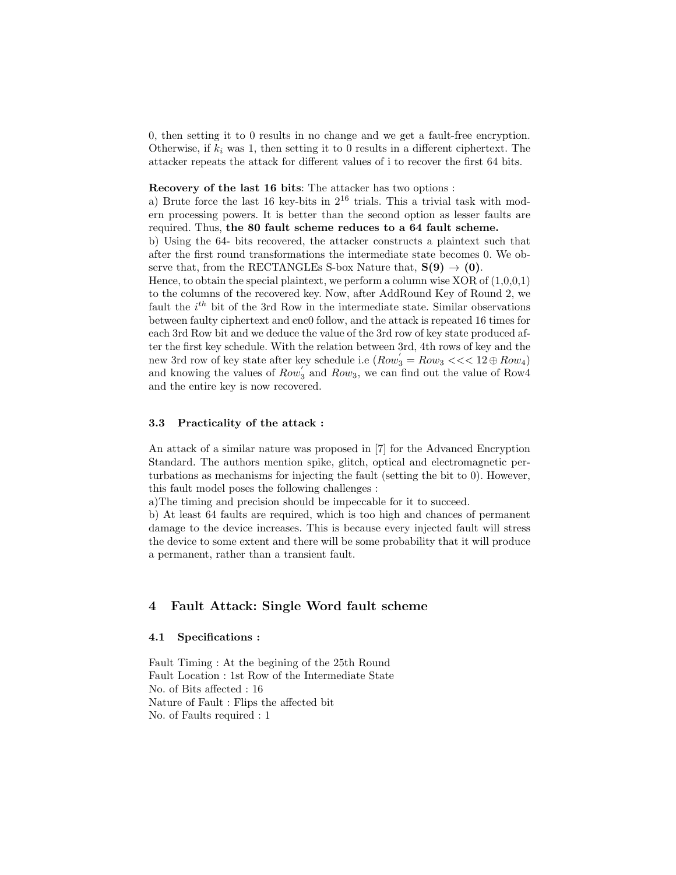0, then setting it to 0 results in no change and we get a fault-free encryption. Otherwise, if  $k_i$  was 1, then setting it to 0 results in a different ciphertext. The attacker repeats the attack for different values of i to recover the first 64 bits.

## Recovery of the last 16 bits: The attacker has two options :

a) Brute force the last 16 key-bits in  $2^{16}$  trials. This a trivial task with modern processing powers. It is better than the second option as lesser faults are required. Thus, the 80 fault scheme reduces to a 64 fault scheme.

b) Using the 64- bits recovered, the attacker constructs a plaintext such that after the first round transformations the intermediate state becomes 0. We observe that, from the RECTANGLEs S-box Nature that,  $S(9) \rightarrow (0)$ .

Hence, to obtain the special plaintext, we perform a column wise  $XOR$  of  $(1,0,0,1)$ to the columns of the recovered key. Now, after AddRound Key of Round 2, we fault the  $i^{th}$  bit of the 3rd Row in the intermediate state. Similar observations between faulty ciphertext and enc0 follow, and the attack is repeated 16 times for each 3rd Row bit and we deduce the value of the 3rd row of key state produced after the first key schedule. With the relation between 3rd, 4th rows of key and the new 3rd row of key state after key schedule i.e  $(Row_3^{'} = Row_3 \lt \lt 12 \oplus Row_4)$ and knowing the values of  $Row_3'$  and  $Row_3$ , we can find out the value of Row4 and the entire key is now recovered.

### 3.3 Practicality of the attack :

An attack of a similar nature was proposed in [7] for the Advanced Encryption Standard. The authors mention spike, glitch, optical and electromagnetic perturbations as mechanisms for injecting the fault (setting the bit to 0). However, this fault model poses the following challenges :

a)The timing and precision should be impeccable for it to succeed.

b) At least 64 faults are required, which is too high and chances of permanent damage to the device increases. This is because every injected fault will stress the device to some extent and there will be some probability that it will produce a permanent, rather than a transient fault.

## 4 Fault Attack: Single Word fault scheme

### 4.1 Specifications :

Fault Timing : At the begining of the 25th Round Fault Location : 1st Row of the Intermediate State No. of Bits affected : 16 Nature of Fault : Flips the affected bit No. of Faults required : 1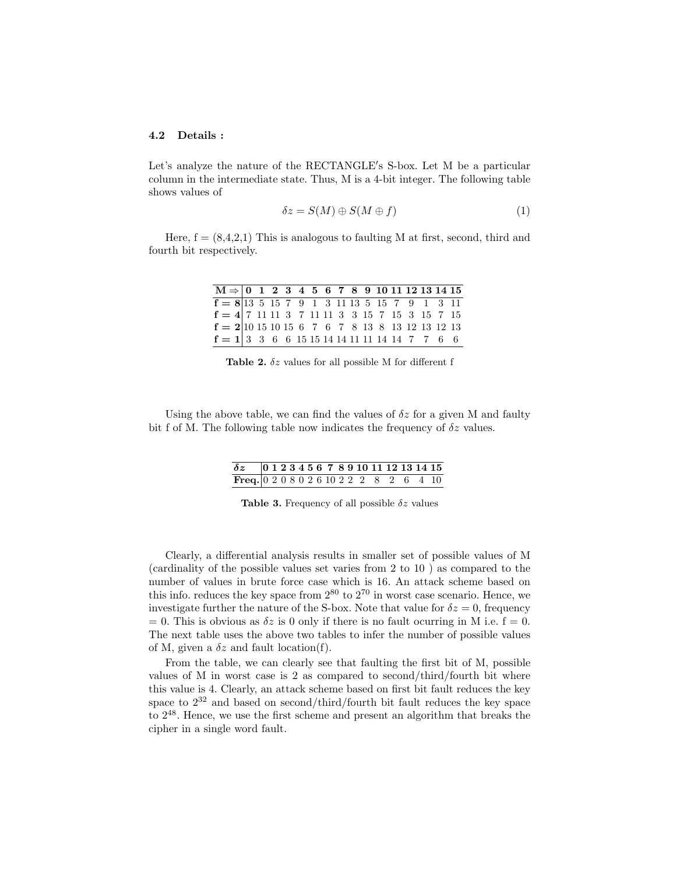#### 4.2 Details :

Let's analyze the nature of the RECTANGLE's S-box. Let M be a particular column in the intermediate state. Thus, M is a 4-bit integer. The following table shows values of

$$
\delta z = S(M) \oplus S(M \oplus f) \tag{1}
$$

Here,  $f = (8,4,2,1)$  This is analogous to faulting M at first, second, third and fourth bit respectively.

| $M \Rightarrow$ 0 1 2 3 4 5 6 7 8 9 10 11 12 13 14 15                                                       |  |  |  |  |  |  |  |  |  |
|-------------------------------------------------------------------------------------------------------------|--|--|--|--|--|--|--|--|--|
| $\overline{f = 8 13\ 5\ 15\ 7\ 9}$ 1 3 11 13 5 15 7 9 1 3 11                                                |  |  |  |  |  |  |  |  |  |
| $f = 4 \begin{bmatrix} 7 & 11 & 11 & 3 & 7 & 11 & 11 & 3 & 3 & 15 & 7 & 15 & 3 & 15 & 7 & 15 \end{bmatrix}$ |  |  |  |  |  |  |  |  |  |
| $f = 2 10\;15\;10\;15\;6\;7\;6\;7\;8\;13\;8\;13\;12\;13\;12\;13$                                            |  |  |  |  |  |  |  |  |  |
| $f = 1 \begin{bmatrix} 3 & 3 & 6 & 6 & 15 & 15 & 14 & 14 & 11 & 11 & 14 & 14 & 7 & 7 & 6 & 6 \end{bmatrix}$ |  |  |  |  |  |  |  |  |  |

Table 2.  $\delta z$  values for all possible M for different f

Using the above table, we can find the values of  $\delta z$  for a given M and faulty bit f of M. The following table now indicates the frequency of  $\delta z$  values.

## δz 0 1 2 3 4 5 6 7 8 9 10 11 12 13 14 15 Freq. 0 2 0 8 0 2 6 10 2 2 2 8 2 6 4 10

Table 3. Frequency of all possible  $\delta z$  values

Clearly, a differential analysis results in smaller set of possible values of M (cardinality of the possible values set varies from 2 to 10 ) as compared to the number of values in brute force case which is 16. An attack scheme based on this info. reduces the key space from  $2^{80}$  to  $2^{70}$  in worst case scenario. Hence, we investigate further the nature of the S-box. Note that value for  $\delta z = 0$ , frequency  $= 0$ . This is obvious as  $\delta z$  is 0 only if there is no fault ocurring in M i.e.  $f = 0$ . The next table uses the above two tables to infer the number of possible values of M, given a  $\delta z$  and fault location(f).

From the table, we can clearly see that faulting the first bit of M, possible values of M in worst case is 2 as compared to second/third/fourth bit where this value is 4. Clearly, an attack scheme based on first bit fault reduces the key space to  $2^{32}$  and based on second/third/fourth bit fault reduces the key space to  $2^{48}$ . Hence, we use the first scheme and present an algorithm that breaks the cipher in a single word fault.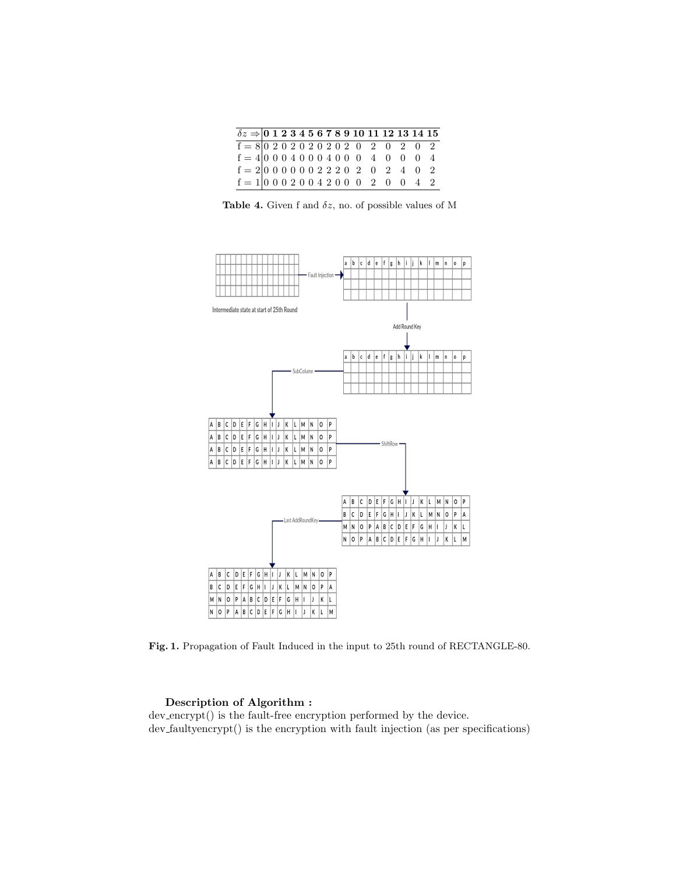| $\delta z \Rightarrow 0$ 1 2 3 4 5 6 7 8 9 10 11 12 13 14 15                                                                                                                                                                                                                                                                               |  |  |  |  |  |  |  |  |
|--------------------------------------------------------------------------------------------------------------------------------------------------------------------------------------------------------------------------------------------------------------------------------------------------------------------------------------------|--|--|--|--|--|--|--|--|
|                                                                                                                                                                                                                                                                                                                                            |  |  |  |  |  |  |  |  |
|                                                                                                                                                                                                                                                                                                                                            |  |  |  |  |  |  |  |  |
|                                                                                                                                                                                                                                                                                                                                            |  |  |  |  |  |  |  |  |
| $\begin{array}{rrrrrrrrrr} \overline{\mathbf{f}} = 8 & 0 & 2 & 0 & 2 & 0 & 2 & 0 & 2 & 0 & 2 & 0 & 2 & 0 & 2 \\ \mathbf{f} = 4 & 0 & 0 & 0 & 4 & 0 & 0 & 0 & 0 & 4 & 0 & 0 & 0 & 4 \\ \mathbf{f} = 2 & 0 & 0 & 0 & 0 & 0 & 2 & 2 & 0 & 2 & 0 & 2 & 4 & 0 & 2 \\ \mathbf{f} = 1 & 0 & 0 & 0 & 2 & 0 & 0 & 4 & 2 & 0 & 0 & 0 & 2 & 0 & 0 & $ |  |  |  |  |  |  |  |  |

Table 4. Given f and  $\delta z$ , no. of possible values of M



Fig. 1. Propagation of Fault Induced in the input to 25th round of RECTANGLE-80.

#### Description of Algorithm :

dev encrypt() is the fault-free encryption performed by the device. dev faultyencrypt() is the encryption with fault injection (as per specifications)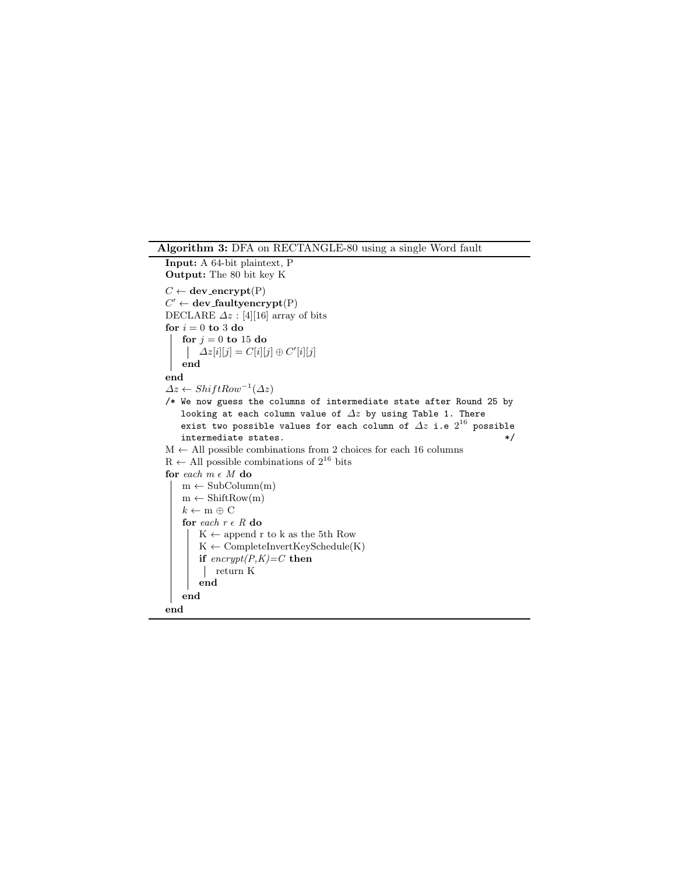Algorithm 3: DFA on RECTANGLE-80 using a single Word fault

```
Input: A 64-bit plaintext, P
Output: The 80 bit key K
C \leftarrow dev_encrypt(P)
C' \leftarrow dev_faultyencrypt(P)
DECLARE \Delta z : [4][16] array of bits
for i = 0 to 3 do
   for j=0 to 15~\mathrm{do}\Delta z[i][j] = C[i][j] \oplus C'[i][j]end
end
\Delta z \leftarrow ShiftRow^{-1}(\Delta z)/* We now guess the columns of intermediate state after Round 25 by
   looking at each column value of \Delta z by using Table 1. There
    exist two possible values for each column of \varDelta z i.e 2^{16} possible
   \blacksquareintermediate states. */\mathcal{M} \leftarrow All possible combinations from 2 choices for each 16 columns
R \leftarrow All possible combinations of 2^{16} bits
for \it each~m~\epsilon~Mdo
   m \leftarrow SubColumn(m)m \leftarrow ShiftRow(m)k \leftarrow m \oplus Cfor each r \in R do
        \mathbf{K} \leftarrow append\mathbf{r} to \mathbf{k} as the 5th Row
        \mathbf{K} \gets \mathbf{CompleteInvertKeySchedule}(\mathbf{K})if \text{energy}(P,K)=C then
         return K
        end
    end
end
```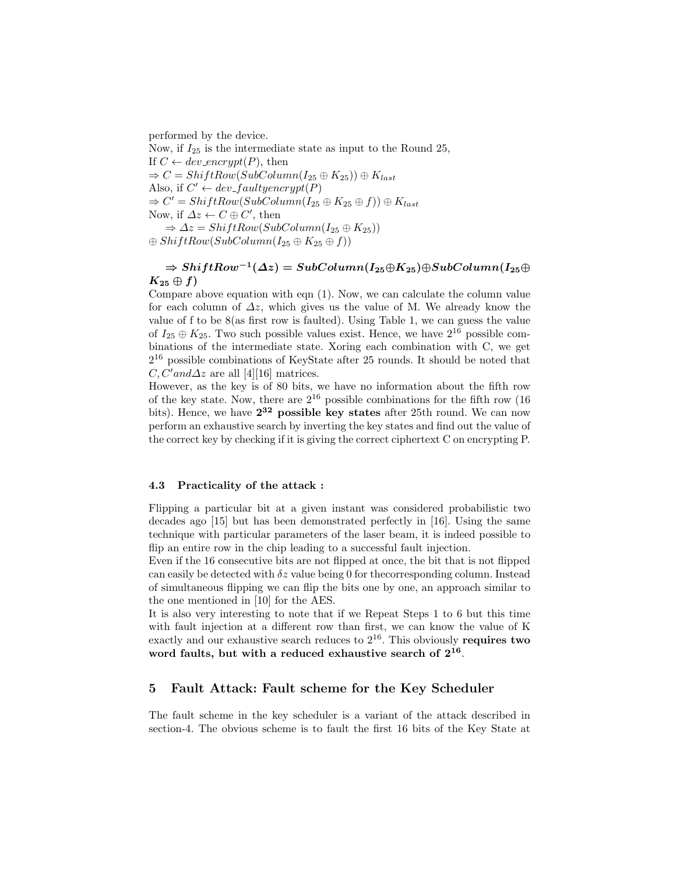performed by the device.

Now, if  $I_{25}$  is the intermediate state as input to the Round 25, If  $C \leftarrow dev\_encrypt(P)$ , then  $\Rightarrow C = ShiftRow(SubColumn(I_{25} \oplus K_{25})) \oplus K_{last}$ Also, if  $C' \leftarrow dev_f \text{aufyencypt}(P)$  $\Rightarrow C' = ShiftRow(SubColumn(I_{25} \oplus K_{25} \oplus f)) \oplus K_{last}$ Now, if  $\Delta z \leftarrow C \oplus C'$ , then  $\Rightarrow \Delta z = ShiftRow(SubColumn(I_{25} \oplus K_{25}))$  $\oplus ShiftRow(SubColumn(I_{25} \oplus K_{25} \oplus f))$ 

## $\Rightarrow ShiftRow^{-1}(\varDelta z)=SubColumn(I_{25} \oplus K_{25})\oplus SubColumn(I_{25} \oplus$  $K_{25} \oplus f$

Compare above equation with eqn (1). Now, we can calculate the column value for each column of  $\Delta z$ , which gives us the value of M. We already know the value of f to be 8(as first row is faulted). Using Table 1, we can guess the value of  $I_{25} \oplus K_{25}$ . Two such possible values exist. Hence, we have  $2^{16}$  possible combinations of the intermediate state. Xoring each combination with C, we get 2 <sup>16</sup> possible combinations of KeyState after 25 rounds. It should be noted that  $C, C'$  and  $\Delta z$  are all [4][16] matrices.

However, as the key is of 80 bits, we have no information about the fifth row of the key state. Now, there are  $2^{16}$  possible combinations for the fifth row (16) bits). Hence, we have 2<sup>32</sup> possible key states after 25th round. We can now perform an exhaustive search by inverting the key states and find out the value of the correct key by checking if it is giving the correct ciphertext C on encrypting P.

### 4.3 Practicality of the attack :

Flipping a particular bit at a given instant was considered probabilistic two decades ago [15] but has been demonstrated perfectly in [16]. Using the same technique with particular parameters of the laser beam, it is indeed possible to flip an entire row in the chip leading to a successful fault injection.

Even if the 16 consecutive bits are not flipped at once, the bit that is not flipped can easily be detected with  $\delta z$  value being 0 for the corresponding column. Instead of simultaneous flipping we can flip the bits one by one, an approach similar to the one mentioned in [10] for the AES.

It is also very interesting to note that if we Repeat Steps 1 to 6 but this time with fault injection at a different row than first, we can know the value of K exactly and our exhaustive search reduces to  $2^{16}$ . This obviously requires two word faults, but with a reduced exhaustive search of  $2^{16}$ .

## 5 Fault Attack: Fault scheme for the Key Scheduler

The fault scheme in the key scheduler is a variant of the attack described in section-4. The obvious scheme is to fault the first 16 bits of the Key State at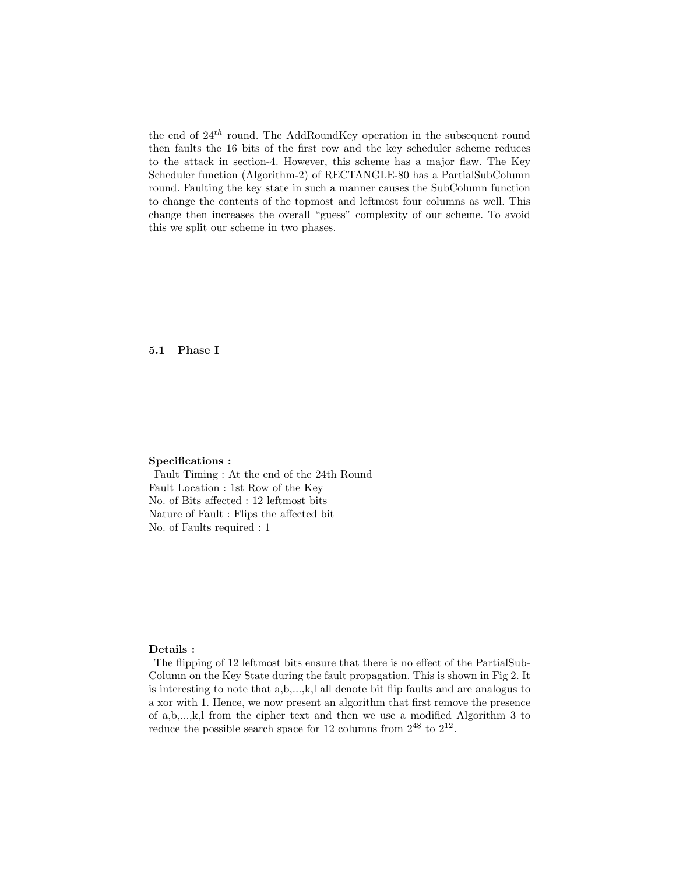the end of  $24<sup>th</sup>$  round. The AddRoundKey operation in the subsequent round then faults the 16 bits of the first row and the key scheduler scheme reduces to the attack in section-4. However, this scheme has a major flaw. The Key Scheduler function (Algorithm-2) of RECTANGLE-80 has a PartialSubColumn round. Faulting the key state in such a manner causes the SubColumn function to change the contents of the topmost and leftmost four columns as well. This change then increases the overall "guess" complexity of our scheme. To avoid this we split our scheme in two phases.

## 5.1 Phase I

#### Specifications :

Fault Timing : At the end of the 24th Round Fault Location : 1st Row of the Key No. of Bits affected : 12 leftmost bits Nature of Fault : Flips the affected bit No. of Faults required : 1

### Details :

The flipping of 12 leftmost bits ensure that there is no effect of the PartialSub-Column on the Key State during the fault propagation. This is shown in Fig 2. It is interesting to note that a,b,...,k,l all denote bit flip faults and are analogus to a xor with 1. Hence, we now present an algorithm that first remove the presence of a,b,...,k,l from the cipher text and then we use a modified Algorithm 3 to reduce the possible search space for 12 columns from  $2^{48}$  to  $2^{12}$ .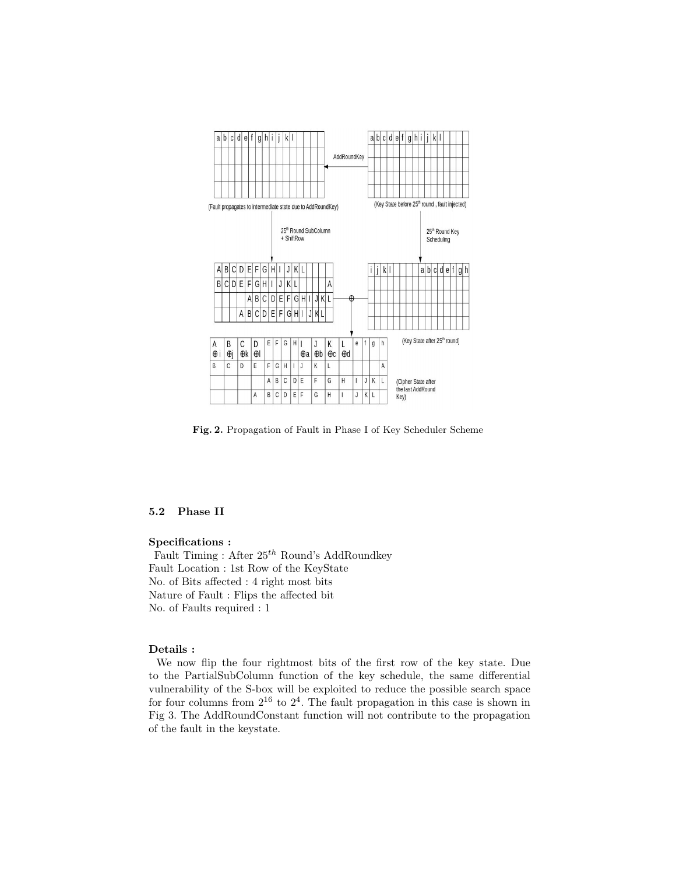

Fig. 2. Propagation of Fault in Phase I of Key Scheduler Scheme

## 5.2 Phase II

### Specifications :

Fault Timing : After  $25^{th}$  Round's AddRoundkey Fault Location : 1st Row of the KeyState No. of Bits affected : 4 right most bits Nature of Fault : Flips the affected bit No. of Faults required : 1

## Details :

We now flip the four rightmost bits of the first row of the key state. Due to the PartialSubColumn function of the key schedule, the same differential vulnerability of the S-box will be exploited to reduce the possible search space for four columns from  $2^{16}$  to  $2^4$ . The fault propagation in this case is shown in Fig 3. The AddRoundConstant function will not contribute to the propagation of the fault in the keystate.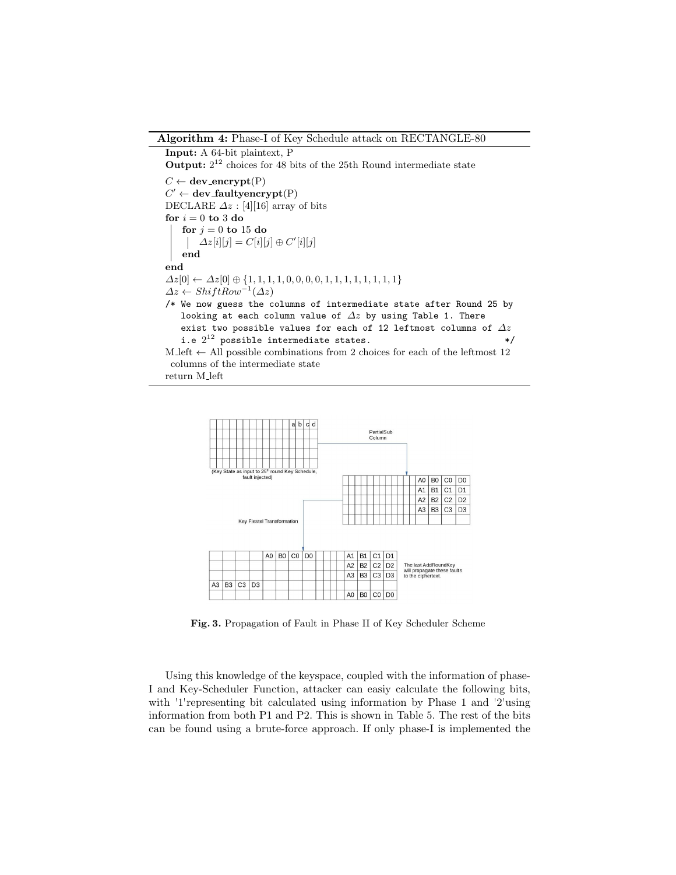#### Algorithm 4: Phase-I of Key Schedule attack on RECTANGLE-80

```
Input: A 64-bit plaintext, P
```
**Output:**  $2^{12}$  choices for 48 bits of the 25th Round intermediate state

 $C \leftarrow$  dev\_encrypt(P)  $C' \leftarrow$  dev\_faultyencrypt(P) DECLARE  $\Delta z$  : [4][16] array of bits for  $i=0$  to  $3$  do  $\,$ for  $j = 0$  to 15 do  $\Delta z[i][j] = C[i][j] \oplus C'[i][j]$ end end  $\Delta z[0] \leftarrow \Delta z[0] \oplus \{1, 1, 1, 1, 0, 0, 0, 0, 1, 1, 1, 1, 1, 1, 1, 1\}$  $\Delta z \leftarrow ShiftRow^{-1}(\Delta z)$ /\* We now guess the columns of intermediate state after Round 25 by looking at each column value of  $\varDelta z$  by using Table 1. There exist two possible values for each of 12 leftmost columns of  $\varDelta z$ i.e  $2^{12}$  possible intermediate states.  $* /$ M left  $\leftarrow$  All possible combinations from 2 choices for each of the leftmost 12 columns of the intermediate state return M left



Fig. 3. Propagation of Fault in Phase II of Key Scheduler Scheme

Using this knowledge of the keyspace, coupled with the information of phase-I and Key-Scheduler Function, attacker can easiy calculate the following bits, with '1'representing bit calculated using information by Phase 1 and '2'using information from both P1 and P2. This is shown in Table 5. The rest of the bits can be found using a brute-force approach. If only phase-I is implemented the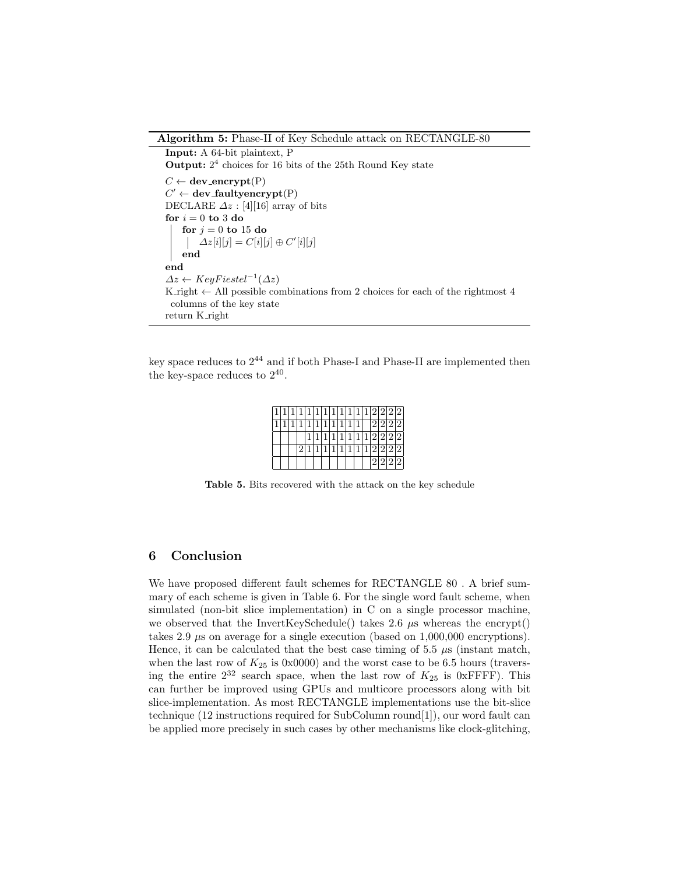### Algorithm 5: Phase-II of Key Schedule attack on RECTANGLE-80

```
Input: A 64-bit plaintext, P
Output: 2<sup>4</sup> choices for 16 bits of the 25th Round Key state
C \leftarrow dev_encrypt(P)
C' \leftarrow dev_faultyencrypt(P)
DECLARE \Delta z : [4][16] array of bits
for i = 0 to 3 do
    for j = 0 to 15 do
         \Delta z[i][j] = C[i][j] \oplus C'[i][j]end
end
\Delta z \leftarrow KeyF is tel^{-1}(\Delta z)K right \leftarrow All possible combinations from 2 choices for each of the rightmost 4
 columns of the key state
return K right
```
key space reduces to  $2^{44}$  and if both Phase-I and Phase-II are implemented then the key-space reduces to  $2^{40}$ .

|  |  |  |  |     |     |  |                               | 1 1 1 1 1 1 1 1 1 1 1 1 2 2 2 2 |
|--|--|--|--|-----|-----|--|-------------------------------|---------------------------------|
|  |  |  |  | 11' | (1) |  | $2 \overline{2} \overline{2}$ |                                 |
|  |  |  |  |     |     |  | 2 2 2 2                       |                                 |
|  |  |  |  |     |     |  |                               |                                 |
|  |  |  |  |     |     |  | 2 2 2 2                       |                                 |

Table 5. Bits recovered with the attack on the key schedule

## 6 Conclusion

We have proposed different fault schemes for RECTANGLE 80 . A brief summary of each scheme is given in Table 6. For the single word fault scheme, when simulated (non-bit slice implementation) in C on a single processor machine, we observed that the InvertKeySchedule() takes 2.6  $\mu$ s whereas the encrypt() takes 2.9  $\mu$ s on average for a single execution (based on 1,000,000 encryptions). Hence, it can be calculated that the best case timing of 5.5  $\mu$ s (instant match, when the last row of  $K_{25}$  is 0x0000) and the worst case to be 6.5 hours (traversing the entire  $2^{32}$  search space, when the last row of  $K_{25}$  is 0xFFFF). This can further be improved using GPUs and multicore processors along with bit slice-implementation. As most RECTANGLE implementations use the bit-slice technique (12 instructions required for SubColumn round[1]), our word fault can be applied more precisely in such cases by other mechanisms like clock-glitching,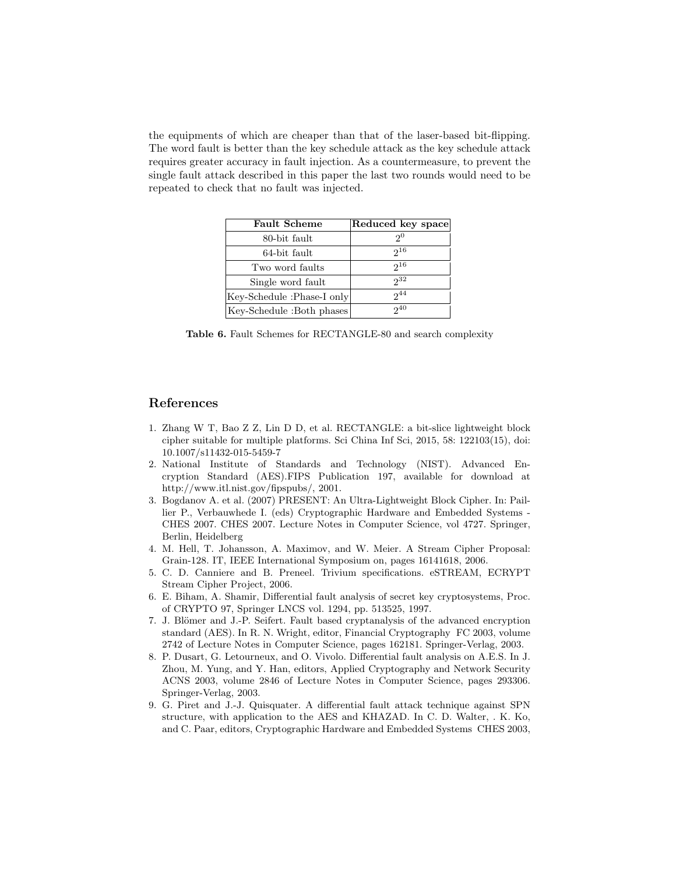the equipments of which are cheaper than that of the laser-based bit-flipping. The word fault is better than the key schedule attack as the key schedule attack requires greater accuracy in fault injection. As a countermeasure, to prevent the single fault attack described in this paper the last two rounds would need to be repeated to check that no fault was injected.

| <b>Fault Scheme</b>        | Reduced key space |
|----------------------------|-------------------|
| 80-bit fault               | 2 <sup>0</sup>    |
| 64-bit fault               | $2^{16}$          |
| Two word faults            | $2^{16}$          |
| Single word fault          | $2^{32}$          |
| Key-Schedule :Phase-I only | $2^{44}$          |
| Key-Schedule :Both phases  | $2^{40}$          |

Table 6. Fault Schemes for RECTANGLE-80 and search complexity

## References

- 1. Zhang W T, Bao Z Z, Lin D D, et al. RECTANGLE: a bit-slice lightweight block cipher suitable for multiple platforms. Sci China Inf Sci, 2015, 58: 122103(15), doi: 10.1007/s11432-015-5459-7
- 2. National Institute of Standards and Technology (NIST). Advanced Encryption Standard (AES).FIPS Publication 197, available for download at http://www.itl.nist.gov/fipspubs/, 2001.
- 3. Bogdanov A. et al. (2007) PRESENT: An Ultra-Lightweight Block Cipher. In: Paillier P., Verbauwhede I. (eds) Cryptographic Hardware and Embedded Systems - CHES 2007. CHES 2007. Lecture Notes in Computer Science, vol 4727. Springer, Berlin, Heidelberg
- 4. M. Hell, T. Johansson, A. Maximov, and W. Meier. A Stream Cipher Proposal: Grain-128. IT, IEEE International Symposium on, pages 16141618, 2006.
- 5. C. D. Canniere and B. Preneel. Trivium specifications. eSTREAM, ECRYPT Stream Cipher Project, 2006.
- 6. E. Biham, A. Shamir, Differential fault analysis of secret key cryptosystems, Proc. of CRYPTO 97, Springer LNCS vol. 1294, pp. 513525, 1997.
- 7. J. Blömer and J.-P. Seifert. Fault based cryptanalysis of the advanced encryption standard (AES). In R. N. Wright, editor, Financial Cryptography FC 2003, volume 2742 of Lecture Notes in Computer Science, pages 162181. Springer-Verlag, 2003.
- 8. P. Dusart, G. Letourneux, and O. Vivolo. Differential fault analysis on A.E.S. In J. Zhou, M. Yung, and Y. Han, editors, Applied Cryptography and Network Security ACNS 2003, volume 2846 of Lecture Notes in Computer Science, pages 293306. Springer-Verlag, 2003.
- 9. G. Piret and J.-J. Quisquater. A differential fault attack technique against SPN structure, with application to the AES and KHAZAD. In C. D. Walter, . K. Ko, and C. Paar, editors, Cryptographic Hardware and Embedded Systems CHES 2003,